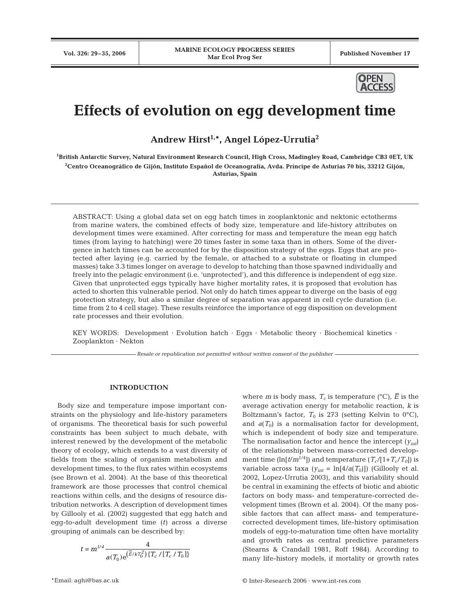

# **Effects of evolution on egg development time**

**Andrew Hirst1,\*, Angel López-Urrutia2**

**1 British Antarctic Survey, Natural Environment Research Council, High Cross, Madingley Road, Cambridge CB3 0ET, UK 2 Centro Oceanográfico de Gijón, Instituto Español de Oceanografía, Avda. Príncipe de Asturias 70 bis, 33212 Gijón, Asturias, Spain**

ABSTRACT: Using a global data set on egg hatch times in zooplanktonic and nektonic ectotherms from marine waters, the combined effects of body size, temperature and life-history attributes on development times were examined. After correcting for mass and temperature the mean egg hatch times (from laying to hatching) were 20 times faster in some taxa than in others. Some of the divergence in hatch times can be accounted for by the disposition strategy of the eggs. Eggs that are protected after laying (e.g. carried by the female, or attached to a substrate or floating in clumped masses) take 3.3 times longer on average to develop to hatching than those spawned individually and freely into the pelagic environment (i.e. 'unprotected'), and this difference is independent of egg size. Given that unprotected eggs typically have higher mortality rates, it is proposed that evolution has acted to shorten this vulnerable period. Not only do hatch times appear to diverge on the basis of egg protection strategy, but also a similar degree of separation was apparent in cell cycle duration (i.e. time from 2 to 4 cell stage). These results reinforce the importance of egg disposition on development rate processes and their evolution.

KEY WORDS: Development · Evolution hatch · Eqgs · Metabolic theory · Biochemical kinetics · Zooplankton · Nekton

*Resale or republication not permitted without written consent of the publisher*

## **INTRODUCTION**

Body size and temperature impose important constraints on the physiology and life-history parameters of organisms. The theoretical basis for such powerful constraints has been subject to much debate, with interest renewed by the development of the metabolic theory of ecology, which extends to a vast diversity of fields from the scaling of organism metabolism and development times, to the flux rates within ecosystems (see Brown et al. 2004). At the base of this theoretical framework are those processes that control chemical reactions within cells, and the designs of resource distribution networks. A description of development times by Gillooly et al. (2002) suggested that egg hatch and egg-to-adult development time (*t)* across a diverse grouping of animals can be described by:

$$
t = m^{1/4} \frac{4}{a(T_0) e^{(\overline{E}/kT_0^2)} \{T_c / [T_c / T_0]\}}
$$

where *m* is body mass,  $T_c$  is temperature (°C),  $\overline{E}$  is the average activation energy for metabolic reaction, *k* is Boltzmann's factor,  $T_0$  is 273 (setting Kelvin to 0°C), and  $a(T_0)$  is a normalisation factor for development, which is independent of body size and temperature. The normalisation factor and hence the intercept (*yint*) of the relationship between mass-corrected development time  $(\ln[t/m^{1/4}])$  and temperature  $(T_c/[1+T_c/T_0])$  is variable across taxa  $(y_{int} = \ln[4/a(T_0)])$  (Gillooly et al. 2002, Lopez-Urrutia 2003), and this variability should be central in examining the effects of biotic and abiotic factors on body mass- and temperature-corrected development times (Brown et al. 2004). Of the many possible factors that can affect mass- and temperaturecorrected development times, life-history optimisation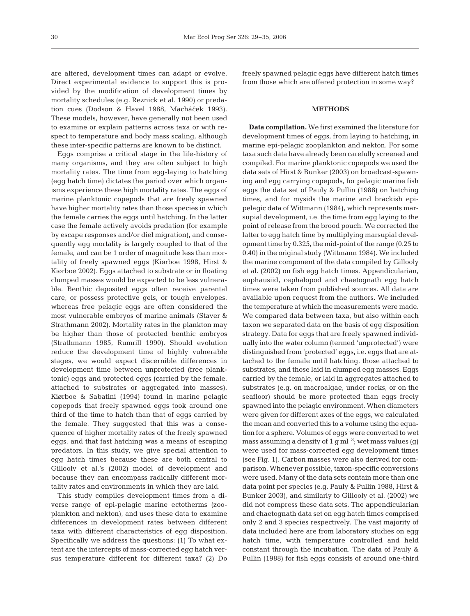are altered, development times can adapt or evolve. Direct experimental evidence to support this is provided by the modification of development times by mortality schedules (e.g. Reznick et al. 1990) or predation cues (Dodson & Havel 1988, Macháček 1993). These models, however, have generally not been used to examine or explain patterns across taxa or with respect to temperature and body mass scaling, although these inter-specific patterns are known to be distinct.

Eggs comprise a critical stage in the life-history of many organisms, and they are often subject to high mortality rates. The time from egg-laying to hatching (egg hatch time) dictates the period over which organisms experience these high mortality rates. The eggs of marine planktonic copepods that are freely spawned have higher mortality rates than those species in which the female carries the eggs until hatching. In the latter case the female actively avoids predation (for example by escape responses and/or diel migration), and consequently egg mortality is largely coupled to that of the female, and can be 1 order of magnitude less than mortality of freely spawned eggs (Kiørboe 1998, Hirst & Kiørboe 2002). Eggs attached to substrate or in floating clumped masses would be expected to be less vulnerable. Benthic deposited eggs often receive parental care, or possess protective gels, or tough envelopes, whereas free pelagic eggs are often considered the most vulnerable embryos of marine animals (Staver & Strathmann 2002). Mortality rates in the plankton may be higher than those of protected benthic embryos (Strathmann 1985, Rumrill 1990). Should evolution reduce the development time of highly vulnerable stages, we would expect discernible differences in development time between unprotected (free planktonic) eggs and protected eggs (carried by the female, attached to substrates or aggregated into masses). Kiørboe & Sabatini (1994) found in marine pelagic copepods that freely spawned eggs took around one third of the time to hatch than that of eggs carried by the female. They suggested that this was a consequence of higher mortality rates of the freely spawned eggs, and that fast hatching was a means of escaping predators. In this study, we give special attention to egg hatch times because these are both central to Gillooly et al.'s (2002) model of development and because they can encompass radically different mortality rates and environments in which they are laid.

This study compiles development times from a diverse range of epi-pelagic marine ectotherms (zooplankton and nekton), and uses these data to examine differences in development rates between different taxa with different characteristics of egg disposition. Specifically we address the questions: (1) To what extent are the intercepts of mass-corrected egg hatch versus temperature different for different taxa? (2) Do freely spawned pelagic eggs have different hatch times from those which are offered protection in some way?

## **METHODS**

**Data compilation.** We first examined the literature for development times of eggs, from laying to hatching, in marine epi-pelagic zooplankton and nekton. For some taxa such data have already been carefully screened and compiled. For marine planktonic copepods we used the data sets of Hirst & Bunker (2003) on broadcast-spawning and egg carrying copepods, for pelagic marine fish eggs the data set of Pauly & Pullin (1988) on hatching times, and for mysids the marine and brackish epipelagic data of Wittmann (1984), which represents marsupial development, i.e. the time from egg laying to the point of release from the brood pouch. We corrected the latter to egg hatch time by multiplying marsupial development time by 0.325, the mid-point of the range (0.25 to 0.40) in the original study (Wittmann 1984). We included the marine component of the data compiled by Gillooly et al. (2002) on fish egg hatch times. Appendicularian, euphausiid, cephalopod and chaetognath egg hatch times were taken from published sources. All data are available upon request from the authors. We included the temperature at which the measurements were made. We compared data between taxa, but also within each taxon we separated data on the basis of egg disposition strategy. Data for eggs that are freely spawned individually into the water column (termed 'unprotected') were distinguished from 'protected' eggs, i.e. eggs that are attached to the female until hatching, those attached to substrates, and those laid in clumped egg masses. Eggs carried by the female, or laid in aggregates attached to substrates (e.g. on macroalgae, under rocks, or on the seafloor) should be more protected than eggs freely spawned into the pelagic environment. When diameters were given for different axes of the eggs, we calculated the mean and converted this to a volume using the equation for a sphere. Volumes of eggs were converted to wet mass assuming a density of 1 g ml<sup>-3</sup>; wet mass values (g) were used for mass-corrected egg development times (see Fig. 1). Carbon masses were also derived for comparison. Whenever possible, taxon-specific conversions were used. Many of the data sets contain more than one data point per species (e.g. Pauly & Pullin 1988, Hirst & Bunker 2003), and similarly to Gillooly et al. (2002) we did not compress these data sets. The appendicularian and chaetognath data set on egg hatch times comprised only 2 and 3 species respectively. The vast majority of data included here are from laboratory studies on egg hatch time, with temperature controlled and held constant through the incubation. The data of Pauly & Pullin (1988) for fish eggs consists of around one-third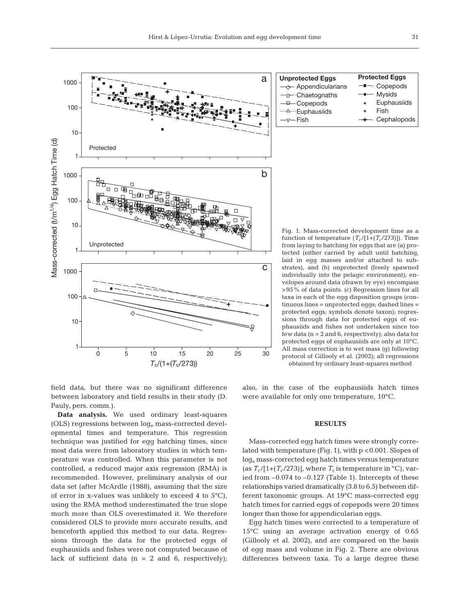

field data, but there was no significant difference between laboratory and field results in their study (D. Pauly, pers. comm.).

**Data analysis.** We used ordinary least-squares (OLS) regressions between  $log_e$  mass-corrected developmental times and temperature. This regression technique was justified for egg hatching times, since most data were from laboratory studies in which temperature was controlled. When this parameter is not controlled, a reduced major axis regression (RMA) is recommended. However, preliminary analysis of our data set (after McArdle (1988), assuming that the size of error in x-values was unlikely to exceed 4 to  $5^{\circ}$ C), using the RMA method underestimated the true slope much more than OLS overestimated it. We therefore considered OLS to provide more accurate results, and henceforth applied this method to our data. Regressions through the data for the protected eggs of euphausiids and fishes were not computed because of lack of sufficient data  $(n = 2 \text{ and } 6)$ , respectively); also, in the case of the euphausiids hatch times were available for only one temperature, 10°C.

#### **RESULTS**

Mass-corrected egg hatch times were strongly correlated with temperature (Fig. 1), with p <0.001. Slopes of loge mass-corrected egg hatch times versus temperature (as  $T_c/[1+(T_c/273)]$ , where  $T_c$  is temperature in <sup>o</sup>C), varied from –0.074 to –0.127 (Table 1). Intercepts of these relationships varied dramatically (3.8 to 6.5) between different taxonomic groups. At 19°C mass-corrected egg hatch times for carried eggs of copepods were 20 times longer than those for appendicularian eggs.

Egg hatch times were corrected to a temperature of 15°C using an average activation energy of 0.65 (Gillooly et al. 2002), and are compared on the basis of egg mass and volume in Fig. 2. There are obvious differences between taxa. To a large degree these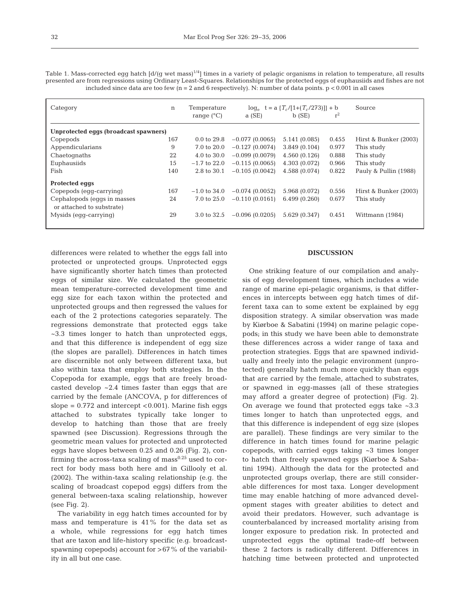Table 1. Mass-corrected egg hatch  $\left[\frac{d}{g}\right]$  wet mass $1/4$  times in a variety of pelagic organisms in relation to temperature, all results presented are from regressions using Ordinary Least-Squares. Relationships for the protected eggs of euphausiids and fishes are not included since data are too few ( $n = 2$  and 6 respectively). N: number of data points.  $p < 0.001$  in all cases

| Category                                                  | n   | Temperature<br>range $(^{\circ}C)$ | a(SE)            | $log_e$ t = a $\{T_c/[1+(T_c/273)]\}$ + b<br>$b$ (SE) | $r^2$ | Source                |  |
|-----------------------------------------------------------|-----|------------------------------------|------------------|-------------------------------------------------------|-------|-----------------------|--|
|                                                           |     |                                    |                  |                                                       |       |                       |  |
| Unprotected eggs (broadcast spawners)                     |     |                                    |                  |                                                       |       |                       |  |
| Copepods                                                  | 167 | $0.0 \text{ to } 29.8$             | $-0.077(0.0065)$ | 5.141(0.085)                                          | 0.455 | Hirst & Bunker (2003) |  |
| Appendicularians                                          | 9   | 7.0 to 20.0                        | $-0.127(0.0074)$ | 3.849(0.104)                                          | 0.977 | This study            |  |
| Chaetognaths                                              | 22  | $4.0 \text{ to } 30.0$             | $-0.099(0.0079)$ | 4.560 (0.126)                                         | 0.888 | This study            |  |
| Euphausiids                                               | 15  | $-1.7$ to 22.0                     | $-0.115(0.0065)$ | 4.303 (0.072)                                         | 0.966 | This study            |  |
| Fish                                                      | 140 | 2.8 to 30.1                        | $-0.105(0.0042)$ | 4.588 (0.074)                                         | 0.822 | Pauly & Pullin (1988) |  |
| Protected eggs                                            |     |                                    |                  |                                                       |       |                       |  |
| Copepods (eqq-carrying)                                   | 167 | $-1.0$ to 34.0                     | $-0.074(0.0052)$ | 5.968 (0.072)                                         | 0.556 | Hirst & Bunker (2003) |  |
| Cephalopods (eqqs in masses)<br>or attached to substrate) | 24  | 7.0 to 25.0                        | $-0.110(0.0161)$ | 6.499(0.260)                                          | 0.677 | This study            |  |
| Mysids (eqq-carrying)                                     | 29  | 3.0 to 32.5                        | $-0.096(0.0205)$ | 5.629 (0.347)                                         | 0.451 | Wittmann (1984)       |  |

differences were related to whether the eggs fall into protected or unprotected groups. Unprotected eggs have significantly shorter hatch times than protected eggs of similar size. We calculated the geometric mean temperature-corrected development time and egg size for each taxon within the protected and unprotected groups and then regressed the values for each of the 2 protections categories separately. The regressions demonstrate that protected eggs take ~3.3 times longer to hatch than unprotected eggs, and that this difference is independent of egg size (the slopes are parallel). Differences in hatch times are discernible not only between different taxa, but also within taxa that employ both strategies. In the Copepoda for example, eggs that are freely broadcasted develop ~2.4 times faster than eggs that are carried by the female (ANCOVA, p for differences of slope =  $0.772$  and intercept <  $0.001$ ). Marine fish eggs attached to substrates typically take longer to develop to hatching than those that are freely spawned (see Discussion). Regressions through the geometric mean values for protected and unprotected eggs have slopes between 0.25 and 0.26 (Fig. 2), confirming the across-taxa scaling of mass $0.25$  used to correct for body mass both here and in Gillooly et al. (2002). The within-taxa scaling relationship (e.g. the scaling of broadcast copepod eggs) differs from the general between-taxa scaling relationship, however (see Fig. 2).

The variability in egg hatch times accounted for by mass and temperature is 41% for the data set as a whole, while regressions for egg hatch times that are taxon and life-history specific (e.g. broadcastspawning copepods) account for  $>67\%$  of the variability in all but one case.

# **DISCUSSION**

One striking feature of our compilation and analysis of egg development times, which includes a wide range of marine epi-pelagic organisms, is that differences in intercepts between egg hatch times of different taxa can to some extent be explained by egg disposition strategy. A similar observation was made by Kiørboe & Sabatini (1994) on marine pelagic copepods; in this study we have been able to demonstrate these differences across a wider range of taxa and protection strategies. Eggs that are spawned individually and freely into the pelagic environment (unprotected) generally hatch much more quickly than eggs that are carried by the female, attached to substrates, or spawned in egg-masses (all of these strategies may afford a greater degree of protection) (Fig. 2). On average we found that protected eggs take ~3.3 times longer to hatch than unprotected eggs, and that this difference is independent of egg size (slopes are parallel). These findings are very similar to the difference in hatch times found for marine pelagic copepods, with carried eggs taking ~3 times longer to hatch than freely spawned eggs (Kiørboe & Sabatini 1994). Although the data for the protected and unprotected groups overlap, there are still considerable differences for most taxa. Longer development time may enable hatching of more advanced development stages with greater abilities to detect and avoid their predators. However, such advantage is counterbalanced by increased mortality arising from longer exposure to predation risk. In protected and unprotected eggs the optimal trade-off between these 2 factors is radically different. Differences in hatching time between protected and unprotected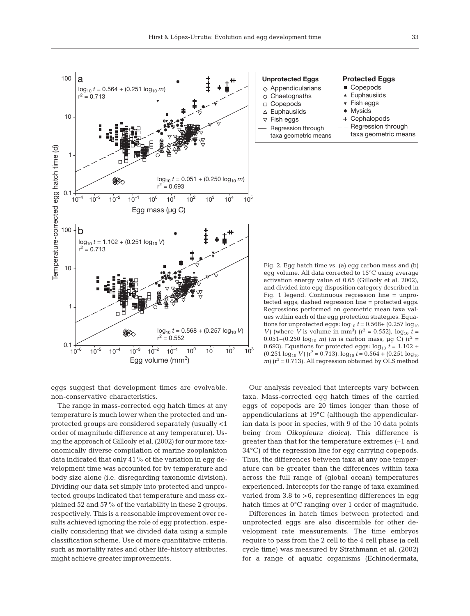

| <b>Unprotected Eggs</b>     | <b>Protected Eggs</b>   |
|-----------------------------|-------------------------|
| $\diamond$ Appendicularians | ■ Copepods              |
| $\circ$ Chaetognaths        | ▲ Euphausiids           |
| $\Box$ Copepods             | $\bullet$ Fish eggs     |
| $\triangle$ Euphausiids     | • Mysids                |
| $\nabla$ Fish eggs          | + Cephalopods           |
| Regression through          | $--$ Regression through |
| taxa geometric means        | taxa geometric means    |
|                             |                         |

eggs suggest that development times are evolvable, non-conservative characteristics.

The range in mass-corrected egg hatch times at any temperature is much lower when the protected and unprotected groups are considered separately (usually <1 order of magnitude difference at any temperature). Using the approach of Gillooly et al. (2002) for our more taxonomically diverse compilation of marine zooplankton data indicated that only 41% of the variation in egg development time was accounted for by temperature and body size alone (i.e. disregarding taxonomic division). Dividing our data set simply into protected and unprotected groups indicated that temperature and mass explained 52 and 57% of the variability in these 2 groups, respectively. This is a reasonable improvement over results achieved ignoring the role of egg protection, especially considering that we divided data using a simple classification scheme. Use of more quantitative criteria, such as mortality rates and other life-history attributes, might achieve greater improvements.

Fig. 2. Egg hatch time vs. (a) egg carbon mass and (b) egg volume. All data corrected to 15°C using average activation energy value of 0.65 (Gillooly et al. 2002), and divided into egg disposition category described in Fig. 1 legend. Continuous regression line = unprotected eggs; dashed regression line = protected eggs. Regressions performed on geometric mean taxa values within each of the egg protection strategies. Equations for unprotected eggs:  $log_{10} t = 0.568 + (0.257 log_{10} t)$ *V*) (where *V* is volume in mm<sup>3</sup>) ( $r^2 = 0.552$ ), log<sub>10</sub>  $t =$ 0.051+(0.250  $log_{10}$  *m*) (*m* is carbon mass, µg C) ( $r^2$  = 0.693). Equations for protected eggs:  $log_{10} t = 1.102 + 1.102$  $(0.251 \log_{10} V)(r^2 = 0.713)$ ,  $\log_{10} t = 0.564 + (0.251 \log_{10} t)$  $m$ ) ( $r^2$  = 0.713). All regression obtained by OLS method

Our analysis revealed that intercepts vary between taxa. Mass-corrected egg hatch times of the carried eggs of copepods are 20 times longer than those of appendicularians at 19°C (although the appendicularian data is poor in species, with 9 of the 10 data points being from *Oikopleura dioica*). This difference is greater than that for the temperature extremes (–1 and 34°C) of the regression line for egg carrying copepods. Thus, the differences between taxa at any one temperature can be greater than the differences within taxa across the full range of (global ocean) temperatures experienced. Intercepts for the range of taxa examined varied from  $3.8$  to  $>6$ , representing differences in egg hatch times at 0°C ranging over 1 order of magnitude.

Differences in hatch times between protected and unprotected eggs are also discernible for other development rate measurements. The time embryos require to pass from the 2 cell to the 4 cell phase (a cell cycle time) was measured by Strathmann et al. (2002) for a range of aquatic organisms (Echinodermata,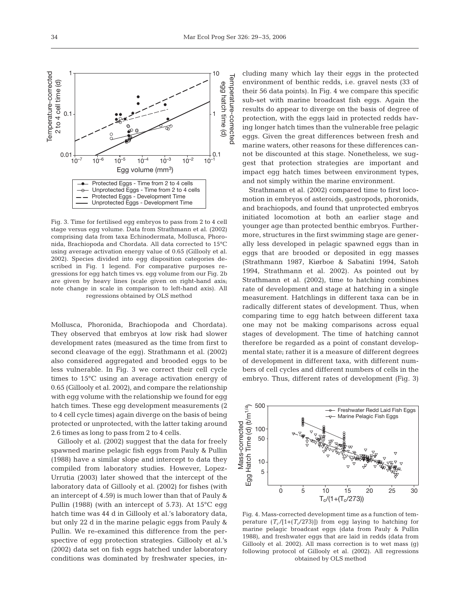

Mollusca, Phoronida, Brachiopoda and Chordata). They observed that embryos at low risk had slower development rates (measured as the time from first to second cleavage of the egg). Strathmann et al. (2002) also considered aggregated and brooded eggs to be less vulnerable. In Fig. 3 we correct their cell cycle times to 15°C using an average activation energy of 0.65 (Gillooly et al. 2002), and compare the relationship with egg volume with the relationship we found for egg hatch times. These egg development measurements (2 to 4 cell cycle times) again diverge on the basis of being protected or unprotected, with the latter taking around 2.6 times as long to pass from 2 to 4 cells.

Gillooly et al. (2002) suggest that the data for freely spawned marine pelagic fish eggs from Pauly & Pullin (1988) have a similar slope and intercept to data they compiled from laboratory studies. However, Lopez-Urrutia (2003) later showed that the intercept of the laboratory data of Gillooly et al. (2002) for fishes (with an intercept of 4.59) is much lower than that of Pauly & Pullin (1988) (with an intercept of 5.73). At 15°C egg hatch time was 44 d in Gillooly et al.'s laboratory data, but only 22 d in the marine pelagic eggs from Pauly & Pullin. We re-examined this difference from the perspective of egg protection strategies. Gillooly et al.'s (2002) data set on fish eggs hatched under laboratory conditions was dominated by freshwater species, in-

cluding many which lay their eggs in the protected environment of benthic redds, i.e. gravel nests (33 of their 56 data points). In Fig. 4 we compare this specific sub-set with marine broadcast fish eggs. Again the results do appear to diverge on the basis of degree of protection, with the eggs laid in protected redds having longer hatch times than the vulnerable free pelagic eggs. Given the great differences between fresh and marine waters, other reasons for these differences cannot be discounted at this stage. Nonetheless, we suggest that protection strategies are important and impact egg hatch times between environment types, and not simply within the marine environment.

Strathmann et al. (2002) compared time to first locomotion in embryos of asteroids, gastropods, phoronids, and brachiopods, and found that unprotected embryos initiated locomotion at both an earlier stage and younger age than protected benthic embryos. Furthermore, structures in the first swimming stage are generally less developed in pelagic spawned eggs than in eggs that are brooded or deposited in egg masses (Strathmann 1987, Kiørboe & Sabatini 1994, Satoh 1994, Strathmann et al. 2002). As pointed out by Strathmann et al. (2002), time to hatching combines rate of development and stage at hatching in a single measurement. Hatchlings in different taxa can be in radically different states of development. Thus, when comparing time to egg hatch between different taxa one may not be making comparisons across equal stages of development. The time of hatching cannot therefore be regarded as a point of constant developmental state; rather it is a measure of different degrees of development in different taxa, with different numbers of cell cycles and different numbers of cells in the embryo. Thus, different rates of development (Fig. 3)



Fig. 4. Mass-corrected development time as a function of temperature  $(T_c/[1+(T_c/273)])$  from egg laying to hatching for marine pelagic broadcast eggs (data from Pauly & Pullin 1988), and freshwater eggs that are laid in redds (data from Gillooly et al. 2002). All mass correction is to wet mass (g) following protocol of Gillooly et al. (2002). All regressions obtained by OLS method